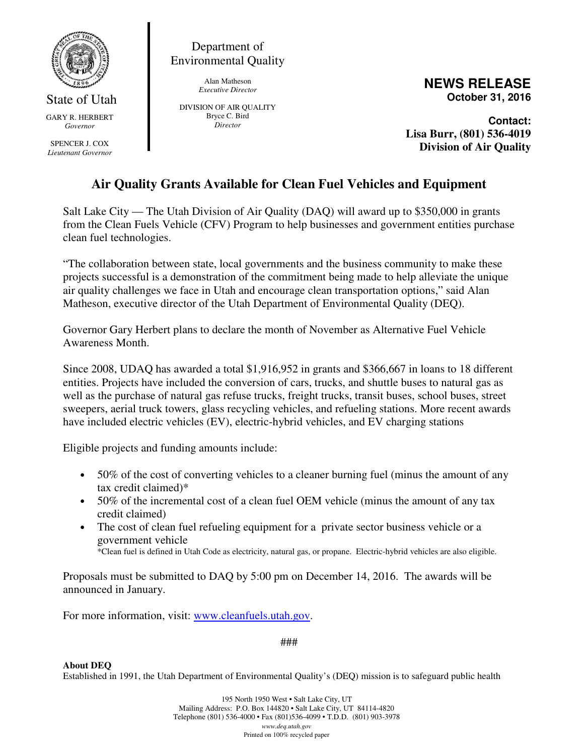

State of Utah GARY R. HERBERT *Governor* 

SPENCER J. COX *Lieutenant Governor* 

Department of Environmental Quality

> Alan Matheson *Executive Director*

DIVISION OF AIR QUALITY Bryce C. Bird *Director* 

## **NEWS RELEASE October 31, 2016**

**Contact: Lisa Burr, (801) 536-4019 Division of Air Quality** 

## **Air Quality Grants Available for Clean Fuel Vehicles and Equipment**

Salt Lake City — The Utah Division of Air Quality (DAQ) will award up to \$350,000 in grants from the Clean Fuels Vehicle (CFV) Program to help businesses and government entities purchase clean fuel technologies.

"The collaboration between state, local governments and the business community to make these projects successful is a demonstration of the commitment being made to help alleviate the unique air quality challenges we face in Utah and encourage clean transportation options," said Alan Matheson, executive director of the Utah Department of Environmental Quality (DEQ).

Governor Gary Herbert plans to declare the month of November as Alternative Fuel Vehicle Awareness Month.

Since 2008, UDAQ has awarded a total \$1,916,952 in grants and \$366,667 in loans to 18 different entities. Projects have included the conversion of cars, trucks, and shuttle buses to natural gas as well as the purchase of natural gas refuse trucks, freight trucks, transit buses, school buses, street sweepers, aerial truck towers, glass recycling vehicles, and refueling stations. More recent awards have included electric vehicles (EV), electric-hybrid vehicles, and EV charging stations

Eligible projects and funding amounts include:

- 50% of the cost of converting vehicles to a cleaner burning fuel (minus the amount of any tax credit claimed)\*
- 50% of the incremental cost of a clean fuel OEM vehicle (minus the amount of any tax credit claimed)
- The cost of clean fuel refueling equipment for a private sector business vehicle or a government vehicle

\*Clean fuel is defined in Utah Code as electricity, natural gas, or propane. Electric-hybrid vehicles are also eligible.

Proposals must be submitted to DAQ by 5:00 pm on December 14, 2016. The awards will be announced in January.

For more information, visit: www.cleanfuels.utah.gov.

###

**About DEQ** 

Established in 1991, the Utah Department of Environmental Quality's (DEQ) mission is to safeguard public health

195 North 1950 West • Salt Lake City, UT Mailing Address: P.O. Box 144820 • Salt Lake City, UT 84114-4820 Telephone (801) 536-4000 • Fax (801)536-4099 • T.D.D. (801) 903-3978 *www.deq.utah.gov*  Printed on 100% recycled paper